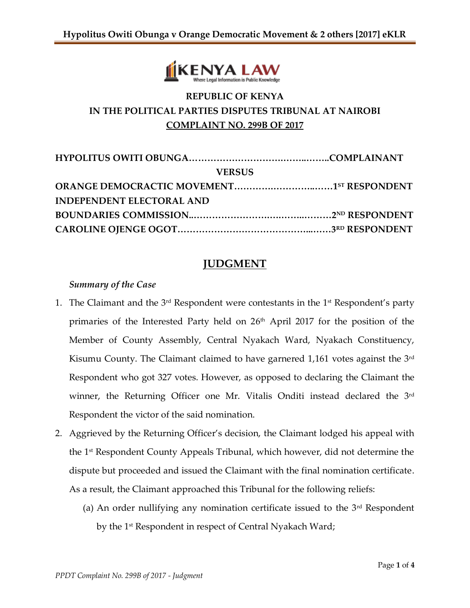

# **REPUBLIC OF KENYA IN THE POLITICAL PARTIES DISPUTES TRIBUNAL AT NAIROBI COMPLAINT NO. 299B OF 2017**

| <b>VERSUS</b>                    |  |
|----------------------------------|--|
|                                  |  |
| <b>INDEPENDENT ELECTORAL AND</b> |  |
|                                  |  |
|                                  |  |

## **JUDGMENT**

#### *Summary of the Case*

- 1. The Claimant and the  $3<sup>rd</sup>$  Respondent were contestants in the  $1<sup>st</sup>$  Respondent's party primaries of the Interested Party held on 26<sup>th</sup> April 2017 for the position of the Member of County Assembly, Central Nyakach Ward, Nyakach Constituency, Kisumu County. The Claimant claimed to have garnered 1,161 votes against the 3rd Respondent who got 327 votes. However, as opposed to declaring the Claimant the winner, the Returning Officer one Mr. Vitalis Onditi instead declared the 3rd Respondent the victor of the said nomination.
- 2. Aggrieved by the Returning Officer's decision, the Claimant lodged his appeal with the  $1<sup>st</sup>$  Respondent County Appeals Tribunal, which however, did not determine the dispute but proceeded and issued the Claimant with the final nomination certificate. As a result, the Claimant approached this Tribunal for the following reliefs:
	- (a) An order nullifying any nomination certificate issued to the  $3<sup>rd</sup>$  Respondent by the 1<sup>st</sup> Respondent in respect of Central Nyakach Ward;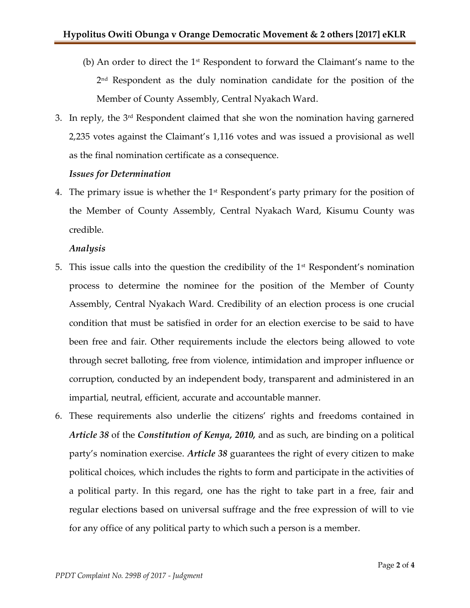- (b) An order to direct the  $1<sup>st</sup>$  Respondent to forward the Claimant's name to the 2 nd Respondent as the duly nomination candidate for the position of the Member of County Assembly, Central Nyakach Ward.
- 3. In reply, the 3rd Respondent claimed that she won the nomination having garnered 2,235 votes against the Claimant's 1,116 votes and was issued a provisional as well as the final nomination certificate as a consequence.

#### *Issues for Determination*

4. The primary issue is whether the  $1<sup>st</sup>$  Respondent's party primary for the position of the Member of County Assembly, Central Nyakach Ward, Kisumu County was credible.

### *Analysis*

- 5. This issue calls into the question the credibility of the  $1<sup>st</sup>$  Respondent's nomination process to determine the nominee for the position of the Member of County Assembly, Central Nyakach Ward. Credibility of an election process is one crucial condition that must be satisfied in order for an election exercise to be said to have been free and fair. Other requirements include the electors being allowed to vote through secret balloting, free from violence, intimidation and improper influence or corruption, conducted by an independent body, transparent and administered in an impartial, neutral, efficient, accurate and accountable manner.
- 6. These requirements also underlie the citizens' rights and freedoms contained in *Article 38* of the *Constitution of Kenya, 2010,* and as such, are binding on a political party's nomination exercise. *Article 38* guarantees the right of every citizen to make political choices, which includes the rights to form and participate in the activities of a political party. In this regard, one has the right to take part in a free, fair and regular elections based on universal suffrage and the free expression of will to vie for any office of any political party to which such a person is a member.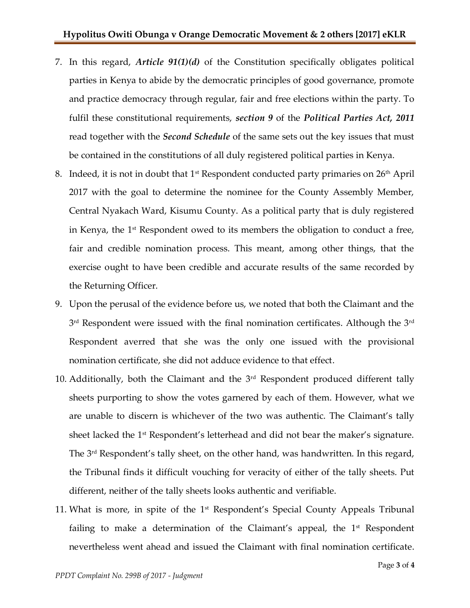- 7. In this regard, *Article 91(1)(d)* of the Constitution specifically obligates political parties in Kenya to abide by the democratic principles of good governance, promote and practice democracy through regular, fair and free elections within the party. To fulfil these constitutional requirements, *section 9* of the *Political Parties Act, 2011* read together with the *Second Schedule* of the same sets out the key issues that must be contained in the constitutions of all duly registered political parties in Kenya.
- 8. Indeed, it is not in doubt that  $1<sup>st</sup>$  Respondent conducted party primaries on  $26<sup>th</sup>$  April 2017 with the goal to determine the nominee for the County Assembly Member, Central Nyakach Ward, Kisumu County. As a political party that is duly registered in Kenya, the 1<sup>st</sup> Respondent owed to its members the obligation to conduct a free, fair and credible nomination process. This meant, among other things, that the exercise ought to have been credible and accurate results of the same recorded by the Returning Officer.
- 9. Upon the perusal of the evidence before us, we noted that both the Claimant and the  $3^{\rm rd}$  Respondent were issued with the final nomination certificates. Although the  $3^{\rm rd}$ Respondent averred that she was the only one issued with the provisional nomination certificate, she did not adduce evidence to that effect.
- 10. Additionally, both the Claimant and the  $3<sup>rd</sup>$  Respondent produced different tally sheets purporting to show the votes garnered by each of them. However, what we are unable to discern is whichever of the two was authentic. The Claimant's tally sheet lacked the 1<sup>st</sup> Respondent's letterhead and did not bear the maker's signature. The 3<sup>rd</sup> Respondent's tally sheet, on the other hand, was handwritten. In this regard, the Tribunal finds it difficult vouching for veracity of either of the tally sheets. Put different, neither of the tally sheets looks authentic and verifiable.
- 11. What is more, in spite of the 1st Respondent's Special County Appeals Tribunal failing to make a determination of the Claimant's appeal, the  $1<sup>st</sup>$  Respondent nevertheless went ahead and issued the Claimant with final nomination certificate.